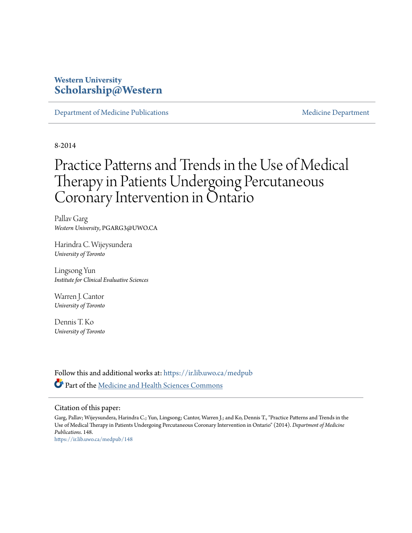### **Western University [Scholarship@Western](https://ir.lib.uwo.ca?utm_source=ir.lib.uwo.ca%2Fmedpub%2F148&utm_medium=PDF&utm_campaign=PDFCoverPages)**

[Department of Medicine Publications](https://ir.lib.uwo.ca/medpub?utm_source=ir.lib.uwo.ca%2Fmedpub%2F148&utm_medium=PDF&utm_campaign=PDFCoverPages) and [Medicine Department](https://ir.lib.uwo.ca/med?utm_source=ir.lib.uwo.ca%2Fmedpub%2F148&utm_medium=PDF&utm_campaign=PDFCoverPages)

8-2014

# Practice Patterns and Trends in the Use of Medical Therapy in Patients Undergoing Percutaneous Coronary Intervention in Ontario

Pallav Garg *Western University*, PGARG3@UWO.CA

Harindra C. Wijeysundera *University of Toronto*

Lingsong Yun *Institute for Clinical Evaluative Sciences*

Warren J. Cantor *University of Toronto*

Dennis T. Ko *University of Toronto*

Follow this and additional works at: [https://ir.lib.uwo.ca/medpub](https://ir.lib.uwo.ca/medpub?utm_source=ir.lib.uwo.ca%2Fmedpub%2F148&utm_medium=PDF&utm_campaign=PDFCoverPages) Part of the [Medicine and Health Sciences Commons](http://network.bepress.com/hgg/discipline/648?utm_source=ir.lib.uwo.ca%2Fmedpub%2F148&utm_medium=PDF&utm_campaign=PDFCoverPages)

#### Citation of this paper:

Garg, Pallav; Wijeysundera, Harindra C.; Yun, Lingsong; Cantor, Warren J.; and Ko, Dennis T., "Practice Patterns and Trends in the Use of Medical Therapy in Patients Undergoing Percutaneous Coronary Intervention in Ontario" (2014). *Department of Medicine Publications*. 148.

[https://ir.lib.uwo.ca/medpub/148](https://ir.lib.uwo.ca/medpub/148?utm_source=ir.lib.uwo.ca%2Fmedpub%2F148&utm_medium=PDF&utm_campaign=PDFCoverPages)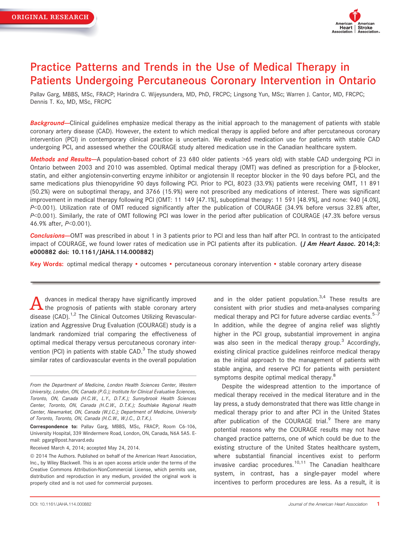

## Practice Patterns and Trends in the Use of Medical Therapy in Patients Undergoing Percutaneous Coronary Intervention in Ontario

Pallav Garg, MBBS, MSc, FRACP; Harindra C. Wijeysundera, MD, PhD, FRCPC; Lingsong Yun, MSc; Warren J. Cantor, MD, FRCPC; Dennis T. Ko, MD, MSc, FRCPC

Background--Clinical guidelines emphasize medical therapy as the initial approach to the management of patients with stable coronary artery disease (CAD). However, the extent to which medical therapy is applied before and after percutaneous coronary intervention (PCI) in contemporary clinical practice is uncertain. We evaluated medication use for patients with stable CAD undergoing PCI, and assessed whether the COURAGE study altered medication use in the Canadian healthcare system.

Methods and Results-A population-based cohort of 23 680 older patients >65 years old) with stable CAD undergoing PCI in Ontario between 2003 and 2010 was assembled. Optimal medical therapy (OMT) was defined as prescription for a b-blocker, statin, and either angiotensin-converting enzyme inhibitor or angiotensin II receptor blocker in the 90 days before PCI, and the same medications plus thienopyridine 90 days following PCI. Prior to PCI, 8023 (33.9%) patients were receiving OMT, 11 891 (50.2%) were on suboptimal therapy, and 3766 (15.9%) were not prescribed any medications of interest. There was significant improvement in medical therapy following PCI (OMT: 11 149 [47.1%], suboptimal therapy: 11 591 [48.9%], and none: 940 [4.0%], P<0.001). Utilization rate of OMT reduced significantly after the publication of COURAGE (34.9% before versus 32.8% after, P<0.001). Similarly, the rate of OMT following PCI was lower in the period after publication of COURAGE (47.3% before versus 46.9% after, P<0.001).

ConclusionsOMT was prescribed in about 1 in 3 patients prior to PCI and less than half after PCI. In contrast to the anticipated impact of COURAGE, we found lower rates of medication use in PCI patients after its publication. (*J Am Heart Assoc.* 2014;3: e000882 doi: [10.1161/JAHA.114.000882](info:doi/10.1161/JAHA.114.000882))

Key Words: optimal medical therapy • outcomes • percutaneous coronary intervention • stable coronary artery disease

A dvances in medical therapy have significantly improved<br>the prognosis of patients with stable coronary artery disease (CAD).<sup>1,2</sup> The Clinical Outcomes Utilizing Revascularization and Aggressive Drug Evaluation (COURAGE) study is a landmark randomized trial comparing the effectiveness of optimal medical therapy versus percutaneous coronary intervention (PCI) in patients with stable CAD. $3$  The study showed similar rates of cardiovascular events in the overall population

Received March 4, 2014; accepted May 24, 2014.

and in the older patient population. $3,4$  These results are consistent with prior studies and meta-analyses comparing medical therapy and PCI for future adverse cardiac events. $5-7$ In addition, while the degree of angina relief was slightly higher in the PCI group, substantial improvement in angina was also seen in the medical therapy group.<sup>3</sup> Accordingly, existing clinical practice guidelines reinforce medical therapy as the initial approach to the management of patients with stable angina, and reserve PCI for patients with persistent symptoms despite optimal medical therapy.<sup>8</sup>

Despite the widespread attention to the importance of medical therapy received in the medical literature and in the lay press, a study demonstrated that there was little change in medical therapy prior to and after PCI in the United States after publication of the COURAGE trial. $<sup>9</sup>$  There are many</sup> potential reasons why the COURAGE results may not have changed practice patterns, one of which could be due to the existing structure of the United States healthcare system, where substantial financial incentives exist to perform invasive cardiac procedures.<sup>10,11</sup> The Canadian healthcare system, in contrast, has a single-payer model where incentives to perform procedures are less. As a result, it is

From the Department of Medicine, London Health Sciences Center, Western University, London, ON, Canada (P.G.); Institute for Clinical Evaluative Sciences, Toronto, ON, Canada (H.C.W., L.Y., D.T.K.); Sunnybrook Health Sciences Center, Toronto, ON, Canada (H.C.W., D.T.K.); Southlake Regional Health Center, Newmarket, ON, Canada (W.J.C.); Department of Medicine, University of Toronto, Toronto, ON, Canada (H.C.W., W.J.C., D.T.K.).

Correspondence to: Pallav Garg, MBBS, MSc, FRACP, Room C6-106, University Hospital, 339 Windermere Road, London, ON, Canada, N6A 5A5. Email: pgarg@post.harvard.edu

 $©$  2014 The Authors. Published on behalf of the American Heart Association, Inc., by Wiley Blackwell. This is an open access article under the terms of the [Creative Commons Attribution-NonCommercial](http://creativecommons.org/licenses/by-nc/3.0/) License, which permits use, distribution and reproduction in any medium, provided the original work is properly cited and is not used for commercial purposes.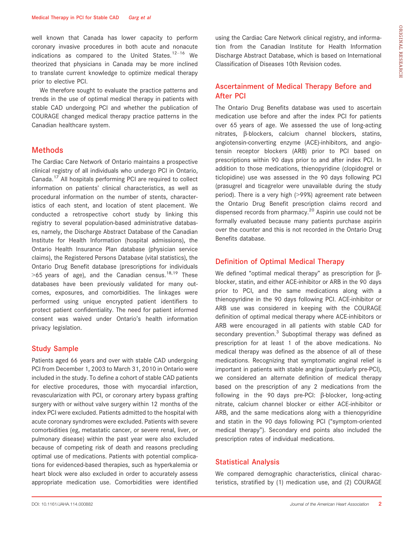well known that Canada has lower capacity to perform coronary invasive procedures in both acute and nonacute indications as compared to the United States.<sup>12–16</sup> We theorized that physicians in Canada may be more inclined to translate current knowledge to optimize medical therapy prior to elective PCI.

We therefore sought to evaluate the practice patterns and trends in the use of optimal medical therapy in patients with stable CAD undergoing PCI and whether the publication of COURAGE changed medical therapy practice patterns in the Canadian healthcare system.

#### Methods

The Cardiac Care Network of Ontario maintains a prospective clinical registry of all individuals who undergo PCI in Ontario, Canada.17 All hospitals performing PCI are required to collect information on patients' clinical characteristics, as well as procedural information on the number of stents, characteristics of each stent, and location of stent placement. We conducted a retrospective cohort study by linking this registry to several population-based administrative databases, namely, the Discharge Abstract Database of the Canadian Institute for Health Information (hospital admissions), the Ontario Health Insurance Plan database (physician service claims), the Registered Persons Database (vital statistics), the Ontario Drug Benefit database (prescriptions for individuals  $>65$  years of age), and the Canadian census.<sup>18,19</sup> These databases have been previously validated for many outcomes, exposures, and comorbidities. The linkages were performed using unique encrypted patient identifiers to protect patient confidentiality. The need for patient informed consent was waived under Ontario's health information privacy legislation.

#### Study Sample

Patients aged 66 years and over with stable CAD undergoing PCI from December 1, 2003 to March 31, 2010 in Ontario were included in the study. To define a cohort of stable CAD patients for elective procedures, those with myocardial infarction, revascularization with PCI, or coronary artery bypass grafting surgery with or without valve surgery within 12 months of the index PCI were excluded. Patients admitted to the hospital with acute coronary syndromes were excluded. Patients with severe comorbidities (eg, metastatic cancer, or severe renal, liver, or pulmonary disease) within the past year were also excluded because of competing risk of death and reasons precluding optimal use of medications. Patients with potential complications for evidenced-based therapies, such as hyperkalemia or heart block were also excluded in order to accurately assess appropriate medication use. Comorbidities were identified using the Cardiac Care Network clinical registry, and information from the Canadian Institute for Health Information Discharge Abstract Database, which is based on International Classification of Diseases 10th Revision codes.

#### Ascertainment of Medical Therapy Before and After PCI

The Ontario Drug Benefits database was used to ascertain medication use before and after the index PCI for patients over 65 years of age. We assessed the use of long-acting nitrates, b-blockers, calcium channel blockers, statins, angiotensin-converting enzyme (ACE)-inhibitors, and angiotensin receptor blockers (ARB) prior to PCI based on prescriptions within 90 days prior to and after index PCI. In addition to those medications, thienopyridine (clopidogrel or ticlopidine) use was assessed in the 90 days following PCI (prasugrel and ticagrelor were unavailable during the study period). There is a very high (>99%) agreement rate between the Ontario Drug Benefit prescription claims record and dispensed records from pharmacy.<sup>20</sup> Aspirin use could not be formally evaluated because many patients purchase aspirin over the counter and this is not recorded in the Ontario Drug Benefits database.

#### Definition of Optimal Medical Therapy

We defined "optimal medical therapy" as prescription for  $\beta$ blocker, statin, and either ACE-inhibitor or ARB in the 90 days prior to PCI, and the same medications along with a thienopyridine in the 90 days following PCI. ACE-inhibitor or ARB use was considered in keeping with the COURAGE definition of optimal medical therapy where ACE-inhibitors or ARB were encouraged in all patients with stable CAD for secondary prevention. $3$  Suboptimal therapy was defined as prescription for at least 1 of the above medications. No medical therapy was defined as the absence of all of these medications. Recognizing that symptomatic anginal relief is important in patients with stable angina (particularly pre-PCI), we considered an alternate definition of medical therapy based on the prescription of any 2 medications from the following in the 90 days pre-PCI:  $\beta$ -blocker, long-acting nitrate, calcium channel blocker or either ACE-inhibitor or ARB, and the same medications along with a thienopyridine and statin in the 90 days following PCI ("symptom-oriented medical therapy"). Secondary end points also included the prescription rates of individual medications.

#### Statistical Analysis

We compared demographic characteristics, clinical characteristics, stratified by (1) medication use, and (2) COURAGE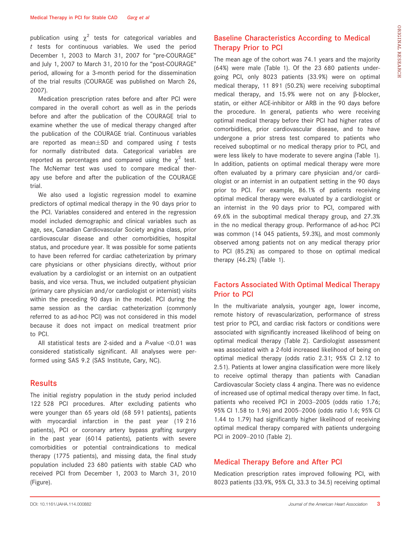publication using  $\chi^2$  tests for categorical variables and  $t$  tests for continuous variables. We used the period December 1, 2003 to March 31, 2007 for "pre-COURAGE" and July 1, 2007 to March 31, 2010 for the "post-COURAGE" period, allowing for a 3-month period for the dissemination of the trial results (COURAGE was published on March 26, 2007).

Medication prescription rates before and after PCI were compared in the overall cohort as well as in the periods before and after the publication of the COURAGE trial to examine whether the use of medical therapy changed after the publication of the COURAGE trial. Continuous variables are reported as mean $\pm$ SD and compared using t tests for normally distributed data. Categorical variables are reported as percentages and compared using the  $\chi^2$  test. The McNemar test was used to compare medical therapy use before and after the publication of the COURAGE trial.

We also used a logistic regression model to examine predictors of optimal medical therapy in the 90 days prior to the PCI. Variables considered and entered in the regression model included demographic and clinical variables such as age, sex, Canadian Cardiovascular Society angina class, prior cardiovascular disease and other comorbidities, hospital status, and procedure year. It was possible for some patients to have been referred for cardiac catheterization by primary care physicians or other physicians directly, without prior evaluation by a cardiologist or an internist on an outpatient basis, and vice versa. Thus, we included outpatient physician (primary care physician and/or cardiologist or internist) visits within the preceding 90 days in the model. PCI during the same session as the cardiac catheterization (commonly referred to as ad-hoc PCI) was not considered in this model because it does not impact on medical treatment prior to PCI.

All statistical tests are 2-sided and a  $P$ -value <0.01 was considered statistically significant. All analyses were performed using SAS 9.2 (SAS Institute, Cary, NC).

#### Results

The initial registry population in the study period included 122 528 PCI procedures. After excluding patients who were younger than 65 years old (68 591 patients), patients with myocardial infarction in the past year (19 216 patients), PCI or coronary artery bypass grafting surgery in the past year (6014 patients), patients with severe comorbidities or potential contraindications to medical therapy (1775 patients), and missing data, the final study population included 23 680 patients with stable CAD who received PCI from December 1, 2003 to March 31, 2010 (Figure).

#### Baseline Characteristics According to Medical Therapy Prior to PCI

The mean age of the cohort was 74.1 years and the majority (64%) were male (Table 1). Of the 23 680 patients undergoing PCI, only 8023 patients (33.9%) were on optimal medical therapy, 11 891 (50.2%) were receiving suboptimal medical therapy, and 15.9% were not on any  $\beta$ -blocker, statin, or either ACE-inhibitor or ARB in the 90 days before the procedure. In general, patients who were receiving optimal medical therapy before their PCI had higher rates of comorbidities, prior cardiovascular disease, and to have undergone a prior stress test compared to patients who received suboptimal or no medical therapy prior to PCI, and were less likely to have moderate to severe angina (Table 1). In addition, patients on optimal medical therapy were more often evaluated by a primary care physician and/or cardiologist or an internist in an outpatient setting in the 90 days prior to PCI. For example, 86.1% of patients receiving optimal medical therapy were evaluated by a cardiologist or an internist in the 90 days prior to PCI, compared with 69.6% in the suboptimal medical therapy group, and 27.3% in the no medical therapy group. Performance of ad-hoc PCI was common (14 045 patients, 59.3%), and most commonly observed among patients not on any medical therapy prior to PCI (85.2%) as compared to those on optimal medical therapy (46.2%) (Table 1).

#### Factors Associated With Optimal Medical Therapy Prior to PCI

In the multivariate analysis, younger age, lower income, remote history of revascularization, performance of stress test prior to PCI, and cardiac risk factors or conditions were associated with significantly increased likelihood of being on optimal medical therapy (Table 2). Cardiologist assessment was associated with a 2-fold increased likelihood of being on optimal medical therapy (odds ratio 2.31; 95% CI 2.12 to 2.51). Patients at lower angina classification were more likely to receive optimal therapy than patients with Canadian Cardiovascular Society class 4 angina. There was no evidence of increased use of optimal medical therapy over time. In fact, patients who received PCI in 2003–2005 (odds ratio 1.76; 95% CI 1.58 to 1.96) and 2005–2006 (odds ratio 1.6; 95% CI 1.44 to 1.79) had significantly higher likelihood of receiving optimal medical therapy compared with patients undergoing PCI in 2009–2010 (Table 2).

#### Medical Therapy Before and After PCI

Medication prescription rates improved following PCI, with 8023 patients (33.9%, 95% CI, 33.3 to 34.5) receiving optimal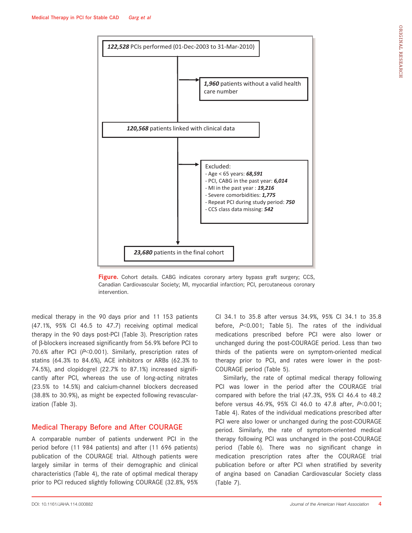

Figure. Cohort details. CABG indicates coronary artery bypass graft surgery; CCS, Canadian Cardiovascular Society; MI, myocardial infarction; PCI, percutaneous coronary intervention.

medical therapy in the 90 days prior and 11 153 patients (47.1%, 95% CI 46.5 to 47.7) receiving optimal medical therapy in the 90 days post-PCI (Table 3). Prescription rates of  $\beta$ -blockers increased significantly from 56.9% before PCI to 70.6% after PCI (P<0.001). Similarly, prescription rates of statins (64.3% to 84.6%), ACE inhibitors or ARBs (62.3% to 74.5%), and clopidogrel (22.7% to 87.1%) increased significantly after PCI, whereas the use of long-acting nitrates (23.5% to 14.5%) and calcium-channel blockers decreased (38.8% to 30.9%), as might be expected following revascularization (Table 3).

#### Medical Therapy Before and After COURAGE

A comparable number of patients underwent PCI in the period before (11 984 patients) and after (11 696 patients) publication of the COURAGE trial. Although patients were largely similar in terms of their demographic and clinical characteristics (Table 4), the rate of optimal medical therapy prior to PCI reduced slightly following COURAGE (32.8%, 95% CI 34.1 to 35.8 after versus 34.9%, 95% CI 34.1 to 35.8 before,  $P<0.001$ ; Table 5). The rates of the individual medications prescribed before PCI were also lower or unchanged during the post-COURAGE period. Less than two thirds of the patients were on symptom-oriented medical therapy prior to PCI, and rates were lower in the post-COURAGE period (Table 5).

Similarly, the rate of optimal medical therapy following PCI was lower in the period after the COURAGE trial compared with before the trial (47.3%, 95% CI 46.4 to 48.2 before versus 46.9%, 95% CI 46.0 to 47.8 after,  $P<0.001$ ; Table 4). Rates of the individual medications prescribed after PCI were also lower or unchanged during the post-COURAGE period. Similarly, the rate of symptom-oriented medical therapy following PCI was unchanged in the post-COURAGE period (Table 6). There was no significant change in medication prescription rates after the COURAGE trial publication before or after PCI when stratified by severity of angina based on Canadian Cardiovascular Society class (Table 7).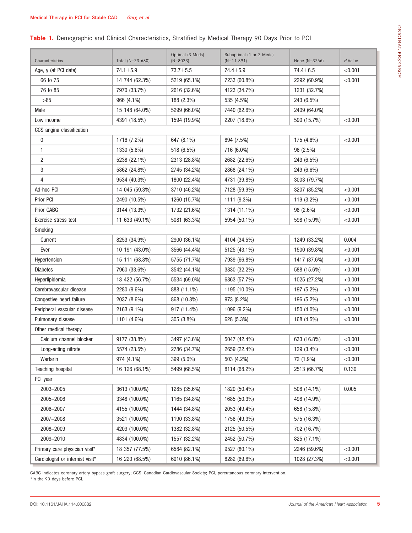#### Table 1. Demographic and Clinical Characteristics, Stratified by Medical Therapy 90 Days Prior to PCI

| Characteristics                  | Total (N=23 680) | Optimal (3 Meds)<br>$(N=8023)$ | Suboptimal (1 or 2 Meds)<br>$(N=11 891)$ | None (N=3766) | P-Value |
|----------------------------------|------------------|--------------------------------|------------------------------------------|---------------|---------|
| Age, y (at PCI date)             | $74.1 \pm 5.9$   | $73.7 + 5.5$                   | 74.4±5.9                                 | 74.4±6.5      | < 0.001 |
| 66 to 75                         | 14 744 (62.3%)   | 5219 (65.1%)                   | 7233 (60.8%)                             | 2292 (60.9%)  | < 0.001 |
| 76 to 85                         | 7970 (33.7%)     | 2616 (32.6%)                   | 4123 (34.7%)                             | 1231 (32.7%)  |         |
| >85                              | 966 (4.1%)       | 188 (2.3%)                     | 535 (4.5%)                               | 243 (6.5%)    |         |
| Male                             | 15 148 (64.0%)   | 5299 (66.0%)                   | 7440 (62.6%)                             | 2409 (64.0%)  |         |
| Low income                       | 4391 (18.5%)     | 1594 (19.9%)                   | 2207 (18.6%)                             | 590 (15.7%)   | < 0.001 |
| CCS angina classification        |                  |                                |                                          |               |         |
| $\mathbf{0}$                     | 1716 (7.2%)      | 647 (8.1%)                     | 894 (7.5%)                               | 175 (4.6%)    | < 0.001 |
| 1                                | 1330 (5.6%)      | 518 (6.5%)                     | 716 (6.0%)                               | 96 (2.5%)     |         |
| $\overline{c}$                   | 5238 (22.1%)     | 2313 (28.8%)                   | 2682 (22.6%)                             | 243 (6.5%)    |         |
| 3                                | 5862 (24.8%)     | 2745 (34.2%)                   | 2868 (24.1%)                             | 249 (6.6%)    |         |
| 4                                | 9534 (40.3%)     | 1800 (22.4%)                   | 4731 (39.8%)                             | 3003 (79.7%)  |         |
| Ad-hoc PCI                       | 14 045 (59.3%)   | 3710 (46.2%)                   | 7128 (59.9%)                             | 3207 (85.2%)  | < 0.001 |
| Prior PCI                        | 2490 (10.5%)     | 1260 (15.7%)                   | 1111 (9.3%)                              | 119 (3.2%)    | < 0.001 |
| Prior CABG                       | 3144 (13.3%)     | 1732 (21.6%)                   | 1314 (11.1%)                             | 98 (2.6%)     | < 0.001 |
| Exercise stress test             | 11 633 (49.1%)   | 5081 (63.3%)                   | 5954 (50.1%)                             | 598 (15.9%)   | < 0.001 |
| Smoking                          |                  |                                |                                          |               |         |
| Current                          | 8253 (34.9%)     | 2900 (36.1%)                   | 4104 (34.5%)                             | 1249 (33.2%)  | 0.004   |
| Ever                             | 10 191 (43.0%)   | 3566 (44.4%)                   | 5125 (43.1%)                             | 1500 (39.8%)  | < 0.001 |
| Hypertension                     | 15 111 (63.8%)   | 5755 (71.7%)                   | 7939 (66.8%)                             | 1417 (37.6%)  | < 0.001 |
| <b>Diabetes</b>                  | 7960 (33.6%)     | 3542 (44.1%)                   | 3830 (32.2%)                             | 588 (15.6%)   | < 0.001 |
| Hyperlipidemia                   | 13 422 (56.7%)   | 5534 (69.0%)                   | 6863 (57.7%)                             | 1025 (27.2%)  | < 0.001 |
| Cerebrovascular disease          | 2280 (9.6%)      | 888 (11.1%)                    | 1195 (10.0%)                             | 197 (5.2%)    | < 0.001 |
| Congestive heart failure         | 2037 (8.6%)      | 868 (10.8%)                    | 973 (8.2%)                               | 196 (5.2%)    | < 0.001 |
| Peripheral vascular disease      | 2163 (9.1%)      | 917 (11.4%)                    | 1096 (9.2%)                              | 150 (4.0%)    | < 0.001 |
| Pulmonary disease                | 1101 (4.6%)      | 305 (3.8%)                     | 628 (5.3%)                               | 168 (4.5%)    | < 0.001 |
| Other medical therapy            |                  |                                |                                          |               |         |
| Calcium channel blocker          | 9177 (38.8%)     | 3497 (43.6%)                   | 5047 (42.4%)                             | 633 (16.8%)   | < 0.001 |
| Long-acting nitrate              | 5574 (23.5%)     | 2786 (34.7%)                   | 2659 (22.4%)                             | 129 (3.4%)    | < 0.001 |
| Warfarin                         | 974 (4.1%)       | 399 (5.0%)                     | 503 (4.2%)                               | 72 (1.9%)     | < 0.001 |
| Teaching hospital                | 16 126 (68.1%)   | 5499 (68.5%)                   | 8114 (68.2%)                             | 2513 (66.7%)  | 0.130   |
| PCI year                         |                  |                                |                                          |               |         |
| 2003-2005                        | 3613 (100.0%)    | 1285 (35.6%)                   | 1820 (50.4%)                             | 508 (14.1%)   | 0.005   |
| 2005-2006                        | 3348 (100.0%)    | 1165 (34.8%)                   | 1685 (50.3%)                             | 498 (14.9%)   |         |
| 2006-2007                        | 4155 (100.0%)    | 1444 (34.8%)                   | 2053 (49.4%)                             | 658 (15.8%)   |         |
| 2007-2008                        | 3521 (100.0%)    | 1190 (33.8%)                   | 1756 (49.9%)                             | 575 (16.3%)   |         |
| 2008-2009                        | 4209 (100.0%)    | 1382 (32.8%)                   | 2125 (50.5%)                             | 702 (16.7%)   |         |
| 2009-2010                        | 4834 (100.0%)    | 1557 (32.2%)                   | 2452 (50.7%)                             | 825 (17.1%)   |         |
| Primary care physician visit*    | 18 357 (77.5%)   | 6584 (82.1%)                   | 9527 (80.1%)                             | 2246 (59.6%)  | < 0.001 |
| Cardiologist or internist visit* | 16 220 (68.5%)   | 6910 (86.1%)                   | 8282 (69.6%)                             | 1028 (27.3%)  | < 0.001 |

CABG indicates coronary artery bypass graft surgery; CCS, Canadian Cardiovascular Society; PCI, percutaneous coronary intervention. \*In the 90 days before PCI.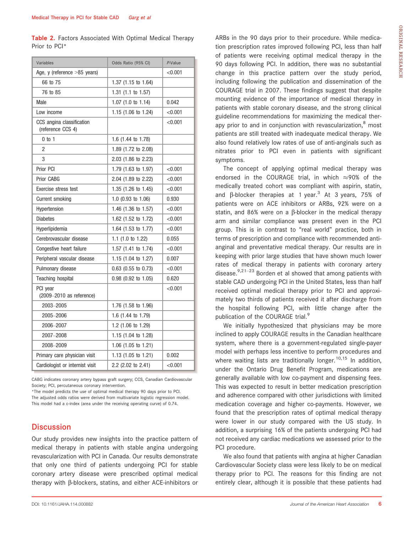Table 2. Factors Associated With Optimal Medical Therapy Prior to PCI\*

| Odds Ratio (95% CI)          | P-Value   |
|------------------------------|-----------|
|                              | < 0.001   |
| 1.37 (1.15 to 1.64)          |           |
| 1.31 (1.1 to 1.57)           |           |
| $1.07$ (1.0 to 1.14)         | 0.042     |
| 1.15 (1.06 to 1.24)          | $<$ 0.001 |
|                              | < 0.001   |
| 1.6 (1.44 to 1.78)           |           |
| 1.89 (1.72 to 2.08)          |           |
| 2.03 (1.86 to 2.23)          |           |
| 1.79 (1.63 to 1.97)          | $<$ 0.001 |
| 2.04 (1.89 to 2.22)          | $<$ 0.001 |
| 1.35 (1.26 to 1.45)          | < 0.001   |
| 1.0 (0.93 to 1.06)           | 0.930     |
| 1.46 (1.36 to 1.57)          | $<$ 0.001 |
| 1.62 (1.52 to 1.72)          | $<$ 0.001 |
| 1.64 (1.53 to 1.77)          | < 0.001   |
| 1.1 $(1.0 \text{ to } 1.22)$ | 0.055     |
| 1.57 (1.41 to 1.74)          | < 0.001   |
| 1.15 (1.04 to 1.27)          | 0.007     |
| $0.63$ (0.55 to 0.73)        | < 0.001   |
| 0.98 (0.92 to 1.05)          | 0.620     |
|                              | < 0.001   |
| 1.76 (1.58 to 1.96)          |           |
| 1.6 (1.44 to 1.79)           |           |
| 1.2 (1.06 to 1.29)           |           |
| 1.15 (1.04 to 1.28)          |           |
| 1.06 (1.05 to 1.21)          |           |
| 1.13 (1.05 to 1.21)          | 0.002     |
| 2.2 (2.02 to 2.41)           | < 0.001   |
|                              |           |

CABG indicates coronary artery bypass graft surgery; CCS, Canadian Cardiovascular Society; PCI, percutaneous coronary intervention.

\*The model predicts the use of optimal medical therapy 90 days prior to PCI. The adjusted odds ratios were derived from multivariate logistic regression model. This model had a c-index (area under the receiving operating curve) of 0.74.

#### **Discussion**

Our study provides new insights into the practice pattern of medical therapy in patients with stable angina undergoing revascularization with PCI in Canada. Our results demonstrate that only one third of patients undergoing PCI for stable coronary artery disease were prescribed optimal medical therapy with  $\beta$ -blockers, statins, and either ACE-inhibitors or

ARBs in the 90 days prior to their procedure. While medication prescription rates improved following PCI, less than half of patients were receiving optimal medical therapy in the 90 days following PCI. In addition, there was no substantial change in this practice pattern over the study period, including following the publication and dissemination of the COURAGE trial in 2007. These findings suggest that despite mounting evidence of the importance of medical therapy in patients with stable coronary disease, and the strong clinical guideline recommendations for maximizing the medical therapy prior to and in conjunction with revascularization,<sup>8</sup> most patients are still treated with inadequate medical therapy. We also found relatively low rates of use of anti-anginals such as nitrates prior to PCI even in patients with significant symptoms.

The concept of applying optimal medical therapy was endorsed in the COURAGE trial, in which  $\approx$ 90% of the medically treated cohort was compliant with aspirin, statin, and  $\beta$ -blocker therapies at 1 year.<sup>3</sup> At 3 years, 75% of patients were on ACE inhibitors or ARBs, 92% were on a statin, and 86% were on a  $\beta$ -blocker in the medical therapy arm and similar compliance was present even in the PCI group. This is in contrast to "real world" practice, both in terms of prescription and compliance with recommended antianginal and preventative medical therapy. Our results are in keeping with prior large studies that have shown much lower rates of medical therapy in patients with coronary artery disease. $^{9,21-23}$  Borden et al showed that among patients with stable CAD undergoing PCI in the United States, less than half received optimal medical therapy prior to PCI and approximately two thirds of patients received it after discharge from the hospital following PCI, with little change after the publication of the COURAGE trial.<sup>9</sup>

We initially hypothesized that physicians may be more inclined to apply COURAGE results in the Canadian healthcare system, where there is a government-regulated single-payer model with perhaps less incentive to perform procedures and where waiting lists are traditionally longer.<sup>10,15</sup> In addition, under the Ontario Drug Benefit Program, medications are generally available with low co-payment and dispensing fees. This was expected to result in better medication prescription and adherence compared with other jurisdictions with limited medication coverage and higher co-payments. However, we found that the prescription rates of optimal medical therapy were lower in our study compared with the US study. In addition, a surprising 16% of the patients undergoing PCI had not received any cardiac medications we assessed prior to the PCI procedure.

We also found that patients with angina at higher Canadian Cardiovascular Society class were less likely to be on medical therapy prior to PCI. The reasons for this finding are not entirely clear, although it is possible that these patients had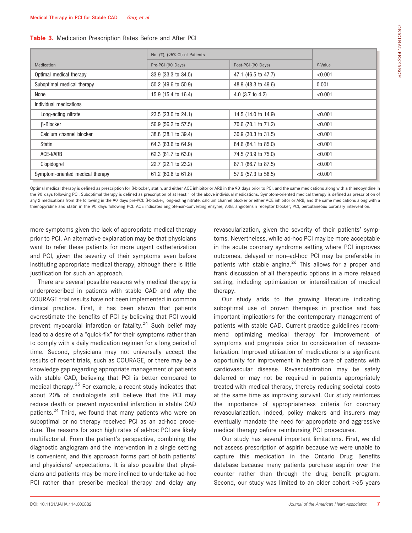|                                  | No. (%), (95% CI) of Patients |                             |           |
|----------------------------------|-------------------------------|-----------------------------|-----------|
| Medication                       | Pre-PCI (90 Days)             | Post-PCI (90 Days)          | $P-Value$ |
| Optimal medical therapy          | 33.9 (33.3 to 34.5)           | 47.1 (46.5 to 47.7)         | < 0.001   |
| Suboptimal medical therapy       | 50.2 (49.6 to 50.9)           | 48.9 (48.3 to 49.6)         | 0.001     |
| None                             | 15.9 (15.4 to 16.4)           | 4.0 $(3.7 \text{ to } 4.2)$ | < 0.001   |
| Individual medications           |                               |                             |           |
| Long-acting nitrate              | 23.5 (23.0 to 24.1)           | 14.5 (14.0 to 14.9)         | < 0.001   |
| <b>B-Blocker</b>                 | 56.9 (56.2 to 57.5)           | 70.6 (70.1 to 71.2)         | < 0.001   |
| Calcium channel blocker          | 38.8 (38.1 to 39.4)           | 30.9 (30.3 to 31.5)         | < 0.001   |
| Statin                           | 64.3 (63.6 to 64.9)           | 84.6 (84.1 to 85.0)         | < 0.001   |
| ACE-I/ARB                        | 62.3 (61.7 to 63.0)           | 74.5 (73.9 to 75.0)         | < 0.001   |
| Clopidogrel                      | 22.7 (22.1 to 23.2)           | 87.1 (86.7 to 87.5)         | < 0.001   |
| Symptom-oriented medical therapy | 61.2 (60.6 to 61.8)           | 57.9 (57.3 to 58.5)         | < 0.001   |

Optimal medical therapy is defined as prescription for ß-blocker, statin, and either ACE inhibitor or ARB in the 90 days prior to PCI, and the same medications along with a thienopyridine in the 90 days following PCI. Suboptimal therapy is defined as prescription of at least 1 of the above individual medications. Symptom-oriented medical therapy is defined as prescription of any 2 medications from the following in the 90 days pre-PCI: ß-blocker, long-acting nitrate, calcium channel blocker or either ACE inhibitor or ARB, and the same medications along with a thienopyridine and statin in the 90 days following PCI. ACE indicates angiotensin-converting enzyme; ARB, angiotensin receptor blocker; PCI, percutaneous coronary intervention.

more symptoms given the lack of appropriate medical therapy prior to PCI. An alternative explanation may be that physicians want to refer these patients for more urgent catheterization and PCI, given the severity of their symptoms even before instituting appropriate medical therapy, although there is little justification for such an approach.

There are several possible reasons why medical therapy is underprescribed in patients with stable CAD and why the COURAGE trial results have not been implemented in common clinical practice. First, it has been shown that patients overestimate the benefits of PCI by believing that PCI would prevent myocardial infarction or fatality.<sup>24</sup> Such belief may lead to a desire of a "quick-fix" for their symptoms rather than to comply with a daily medication regimen for a long period of time. Second, physicians may not universally accept the results of recent trials, such as COURAGE, or there may be a knowledge gap regarding appropriate management of patients with stable CAD, believing that PCI is better compared to medical therapy.<sup>25</sup> For example, a recent study indicates that about 20% of cardiologists still believe that the PCI may reduce death or prevent myocardial infarction in stable CAD patients.<sup>24</sup> Third, we found that many patients who were on suboptimal or no therapy received PCI as an ad-hoc procedure. The reasons for such high rates of ad-hoc PCI are likely multifactorial. From the patient's perspective, combining the diagnostic angiogram and the intervention in a single setting is convenient, and this approach forms part of both patients' and physicians' expectations. It is also possible that physicians and patients may be more inclined to undertake ad-hoc PCI rather than prescribe medical therapy and delay any

revascularization, given the severity of their patients' symptoms. Nevertheless, while ad-hoc PCI may be more acceptable in the acute coronary syndrome setting where PCI improves outcomes, delayed or non–ad-hoc PCI may be preferable in patients with stable angina.<sup>26</sup> This allows for a proper and frank discussion of all therapeutic options in a more relaxed setting, including optimization or intensification of medical therapy.

Our study adds to the growing literature indicating suboptimal use of proven therapies in practice and has important implications for the contemporary management of patients with stable CAD. Current practice guidelines recommend optimizing medical therapy for improvement of symptoms and prognosis prior to consideration of revascularization. Improved utilization of medications is a significant opportunity for improvement in health care of patients with cardiovascular disease. Revascularization may be safely deferred or may not be required in patients appropriately treated with medical therapy, thereby reducing societal costs at the same time as improving survival. Our study reinforces the importance of appropriateness criteria for coronary revascularization. Indeed, policy makers and insurers may eventually mandate the need for appropriate and aggressive medical therapy before reimbursing PCI procedures.

Our study has several important limitations. First, we did not assess prescription of aspirin because we were unable to capture this medication in the Ontario Drug Benefits database because many patients purchase aspirin over the counter rather than through the drug benefit program. Second, our study was limited to an older cohort >65 years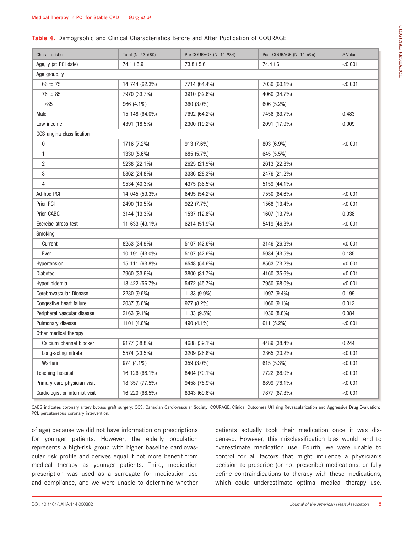#### Table 4. Demographic and Clinical Characteristics Before and After Publication of COURAGE

| Characteristics                 | Total (N=23 680) | Pre-COURAGE (N=11 984) | Post-COURAGE (N=11 696) | P-Value |  |
|---------------------------------|------------------|------------------------|-------------------------|---------|--|
| Age, y (at PCI date)            | $74.1 \pm 5.9$   | $73.8 + 5.6$           | $74.4 \pm 6.1$          | < 0.001 |  |
| Age group, y                    |                  |                        |                         |         |  |
| 66 to 75                        | 14 744 (62.3%)   | 7714 (64.4%)           | 7030 (60.1%)            | < 0.001 |  |
| 76 to 85                        | 7970 (33.7%)     | 3910 (32.6%)           | 4060 (34.7%)            |         |  |
| >85                             | 966 (4.1%)       | 360 (3.0%)             | 606 (5.2%)              |         |  |
| Male                            | 15 148 (64.0%)   | 7692 (64.2%)           | 7456 (63.7%)            | 0.483   |  |
| Low income                      | 4391 (18.5%)     | 2300 (19.2%)           | 2091 (17.9%)            | 0.009   |  |
| CCS angina classification       |                  |                        |                         |         |  |
| $\pmb{0}$                       | 1716 (7.2%)      | 913 (7.6%)             | 803 (6.9%)              | < 0.001 |  |
| $\mathbf{1}$                    | 1330 (5.6%)      | 685 (5.7%)             | 645 (5.5%)              |         |  |
| $\overline{2}$                  | 5238 (22.1%)     | 2625 (21.9%)           | 2613 (22.3%)            |         |  |
| 3                               | 5862 (24.8%)     | 3386 (28.3%)           | 2476 (21.2%)            |         |  |
| $\overline{4}$                  | 9534 (40.3%)     | 4375 (36.5%)           | 5159 (44.1%)            |         |  |
| Ad-hoc PCI                      | 14 045 (59.3%)   | 6495 (54.2%)           | 7550 (64.6%)            | < 0.001 |  |
| Prior PCI                       | 2490 (10.5%)     | 922 (7.7%)             | 1568 (13.4%)            | < 0.001 |  |
| Prior CABG                      | 3144 (13.3%)     | 1537 (12.8%)           | 1607 (13.7%)            | 0.038   |  |
| Exercise stress test            | 11 633 (49.1%)   | 6214 (51.9%)           | 5419 (46.3%)            | < 0.001 |  |
| Smoking                         |                  |                        |                         |         |  |
| Current                         | 8253 (34.9%)     | 5107 (42.6%)           | 3146 (26.9%)            | < 0.001 |  |
| Ever                            | 10 191 (43.0%)   | 5107 (42.6%)           | 5084 (43.5%)            | 0.185   |  |
| Hypertension                    | 15 111 (63.8%)   | 6548 (54.6%)           | 8563 (73.2%)            | < 0.001 |  |
| <b>Diabetes</b>                 | 7960 (33.6%)     | 3800 (31.7%)           | 4160 (35.6%)            | < 0.001 |  |
| Hyperlipidemia                  | 13 422 (56.7%)   | 5472 (45.7%)           | 7950 (68.0%)            | < 0.001 |  |
| Cerebrovascular Disease         | 2280 (9.6%)      | 1183 (9.9%)            | 1097 (9.4%)             | 0.199   |  |
| Congestive heart failure        | 2037 (8.6%)      | 977 (8.2%)             | 1060 (9.1%)             | 0.012   |  |
| Peripheral vascular disease     | 2163 (9.1%)      | 1133 (9.5%)            | 1030 (8.8%)             | 0.084   |  |
| Pulmonary disease               | 1101 (4.6%)      | 490 (4.1%)             | 611 (5.2%)              | < 0.001 |  |
| Other medical therapy           |                  |                        |                         |         |  |
| Calcium channel blocker         | 9177 (38.8%)     | 4688 (39.1%)           | 4489 (38.4%)            | 0.244   |  |
| Long-acting nitrate             | 5574 (23.5%)     | 3209 (26.8%)           | 2365 (20.2%)            | < 0.001 |  |
| Warfarin                        | 974 (4.1%)       | 359 (3.0%)             | 615 (5.3%)              | < 0.001 |  |
| <b>Teaching hospital</b>        | 16 126 (68.1%)   | 8404 (70.1%)           | 7722 (66.0%)            | < 0.001 |  |
| Primary care physician visit    | 18 357 (77.5%)   | 9458 (78.9%)           | 8899 (76.1%)            | < 0.001 |  |
| Cardiologist or internist visit | 16 220 (68.5%)   | 8343 (69.6%)           | 7877 (67.3%)            | < 0.001 |  |

CABG indicates coronary artery bypass graft surgery; CCS, Canadian Cardiovascular Society; COURAGE, Clinical Outcomes Utilizing Revascularization and Aggressive Drug Evaluation; PCI, percutaneous coronary intervention.

of age) because we did not have information on prescriptions for younger patients. However, the elderly population represents a high-risk group with higher baseline cardiovascular risk profile and derives equal if not more benefit from medical therapy as younger patients. Third, medication prescription was used as a surrogate for medication use and compliance, and we were unable to determine whether

patients actually took their medication once it was dispensed. However, this misclassification bias would tend to overestimate medication use. Fourth, we were unable to control for all factors that might influence a physician's decision to prescribe (or not prescribe) medications, or fully define contraindications to therapy with these medications, which could underestimate optimal medical therapy use.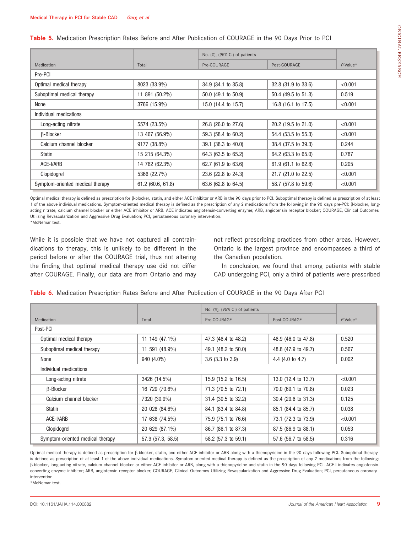#### Table 5. Medication Prescription Rates Before and After Publication of COURAGE in the 90 Days Prior to PCI

|                                  |                     | No. (%), (95% CI) of patients |                     |             |
|----------------------------------|---------------------|-------------------------------|---------------------|-------------|
| Medication                       | Total               | Pre-COURAGE                   | Post-COURAGE        | $P$ -Value* |
| Pre-PCI                          |                     |                               |                     |             |
| Optimal medical therapy          | 8023 (33.9%)        | 34.9 (34.1 to 35.8)           | 32.8 (31.9 to 33.6) | < 0.001     |
| Suboptimal medical therapy       | 11 891 (50.2%)      | 50.0 (49.1 to 50.9)           | 50.4 (49.5 to 51.3) | 0.519       |
| None                             | 3766 (15.9%)        | 15.0 (14.4 to 15.7)           | 16.8 (16.1 to 17.5) | < 0.001     |
| Individual medications           |                     |                               |                     |             |
| Long-acting nitrate              | 5574 (23.5%)        | 26.8 (26.0 to 27.6)           | 20.2 (19.5 to 21.0) | < 0.001     |
| <b>B-Blocker</b>                 | 13 467 (56.9%)      | 59.3 (58.4 to 60.2)           | 54.4 (53.5 to 55.3) | < 0.001     |
| Calcium channel blocker          | 9177 (38.8%)        | 39.1 (38.3 to 40.0)           | 38.4 (37.5 to 39.3) | 0.244       |
| Statin                           | 15 215 (64.3%)      | 64.3 (63.5 to 65.2)           | 64.2 (63.3 to 65.0) | 0.787       |
| ACE-I/ARB                        | 14 762 (62.3%)      | 62.7 (61.9 to 63.6)           | 61.9 (61.1 to 62.8) | 0.205       |
| Clopidogrel                      | 5366 (22.7%)        | 23.6 (22.8 to 24.3)           | 21.7 (21.0 to 22.5) | < 0.001     |
| Symptom-oriented medical therapy | $61.2$ (60.6, 61.8) | 63.6 (62.8 to 64.5)           | 58.7 (57.8 to 59.6) | < 0.001     |
|                                  |                     |                               |                     |             |

Optimal medical therapy is defined as prescription for ß-blocker, statin, and either ACE inhibitor or ARB in the 90 days prior to PCI. Suboptimal therapy is defined as prescription of at least 1 of the above individual medications. Symptom-oriented medical therapy is defined as the prescription of any 2 medications from the following in the 90 days pre-PCI: ß-blocker, longacting nitrate, calcium channel blocker or either ACE inhibitor or ARB. ACE indicates angiotensin-converting enzyme; ARB, angiotensin receptor blocker; COURAGE, Clinical Outcomes Utilizing Revascularization and Aggressive Drug Evaluation; PCI, percutaneous coronary intervention. \*McNemar test.

While it is possible that we have not captured all contraindications to therapy, this is unlikely to be different in the period before or after the COURAGE trial, thus not altering the finding that optimal medical therapy use did not differ after COURAGE. Finally, our data are from Ontario and may not reflect prescribing practices from other areas. However, Ontario is the largest province and encompasses a third of the Canadian population.

In conclusion, we found that among patients with stable CAD undergoing PCI, only a third of patients were prescribed

Table 6. Medication Prescription Rates Before and After Publication of COURAGE in the 90 Days After PCI

|                                  |                   | No. (%), (95% CI) of patients |                             |             |
|----------------------------------|-------------------|-------------------------------|-----------------------------|-------------|
| Medication                       | Total             | Pre-COURAGE                   | Post-COURAGE                | $P$ -Value* |
| Post-PCI                         |                   |                               |                             |             |
| Optimal medical therapy          | 11 149 (47.1%)    | 47.3 (46.4 to 48.2)           | 46.9 (46.0 to 47.8)         | 0.520       |
| Suboptimal medical therapy       | 11 591 (48.9%)    | 49.1 (48.2 to 50.0)           | 48.8 (47.9 to 49.7)         | 0.567       |
| None                             | 940 (4.0%)        | $3.6$ $(3.3 \text{ to } 3.9)$ | 4.4 $(4.0 \text{ to } 4.7)$ | 0.002       |
| Individual medications           |                   |                               |                             |             |
| Long-acting nitrate              | 3426 (14.5%)      | 15.9 (15.2 to 16.5)           | 13.0 (12.4 to 13.7)         | < 0.001     |
| <b>B-Blocker</b>                 | 16 729 (70.6%)    | 71.3 (70.5 to 72.1)           | 70.0 (69.1 to 70.8)         | 0.023       |
| Calcium channel blocker          | 7320 (30.9%)      | 31.4 (30.5 to 32.2)           | 30.4 (29.6 to 31.3)         | 0.125       |
| Statin                           | 20 028 (84.6%)    | 84.1 (83.4 to 84.8)           | 85.1 (84.4 to 85.7)         | 0.038       |
| ACE-I/ARB                        | 17 638 (74.5%)    | 75.9 (75.1 to 76.6)           | 73.1 (72.3 to 73.9)         | < 0.001     |
| Clopidogrel                      | 20 629 (87.1%)    | 86.7 (86.1 to 87.3)           | 87.5 (86.9 to 88.1)         | 0.053       |
| Symptom-oriented medical therapy | 57.9 (57.3, 58.5) | 58.2 (57.3 to 59.1)           | 57.6 (56.7 to 58.5)         | 0.316       |

Optimal medical therapy is defined as prescription for  $\beta$ -blocker, statin, and either ACE inhibitor or ARB along with a thienopyridine in the 90 days following PCI. Suboptimal therapy is defined as prescription of at least 1 of the above individual medications. Symptom-oriented medical therapy is defined as the prescription of any 2 medications from the following: b-blocker, long-acting nitrate, calcium channel blocker or either ACE inhibitor or ARB, along with a thienopyridine and statin in the 90 days following PCI. ACE-I indicates angiotensinconverting enzyme inhibitor; ARB, angiotensin receptor blocker; COURAGE, Clinical Outcomes Utilizing Revascularization and Aggressive Drug Evaluation; PCI, percutaneous coronary intervention.

\*McNemar test.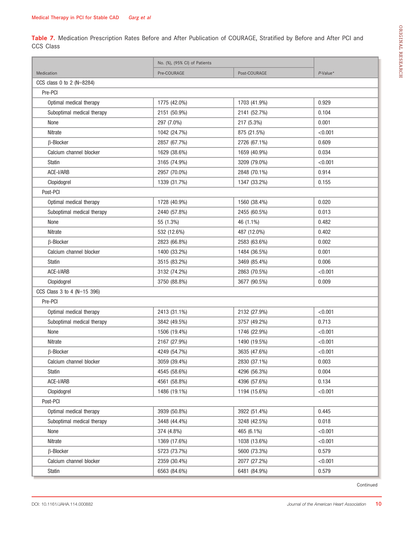Table 7. Medication Prescription Rates Before and After Publication of COURAGE, Stratified by Before and After PCI and CCS Class

|                                | No. (%), (95% CI) of Patients |              |             |  |
|--------------------------------|-------------------------------|--------------|-------------|--|
| Medication                     | Pre-COURAGE                   | Post-COURAGE | $P$ -Value* |  |
| CCS class 0 to 2 ( $N=8284$ )  |                               |              |             |  |
| Pre-PCI                        |                               |              |             |  |
| Optimal medical therapy        | 1775 (42.0%)                  | 1703 (41.9%) | 0.929       |  |
| Suboptimal medical therapy     | 2151 (50.9%)                  | 2141 (52.7%) | 0.104       |  |
| None                           | 297 (7.0%)                    | 217 (5.3%)   | 0.001       |  |
| Nitrate                        | 1042 (24.7%)                  | 875 (21.5%)  | < 0.001     |  |
| β-Blocker                      | 2857 (67.7%)                  | 2726 (67.1%) | 0.609       |  |
| Calcium channel blocker        | 1629 (38.6%)                  | 1659 (40.9%) | 0.034       |  |
| <b>Statin</b>                  | 3165 (74.9%)                  | 3209 (79.0%) | < 0.001     |  |
| ACE-I/ARB                      | 2957 (70.0%)                  | 2848 (70.1%) | 0.914       |  |
| Clopidogrel                    | 1339 (31.7%)                  | 1347 (33.2%) | 0.155       |  |
| Post-PCI                       |                               |              |             |  |
| Optimal medical therapy        | 1728 (40.9%)                  | 1560 (38.4%) | 0.020       |  |
| Suboptimal medical therapy     | 2440 (57.8%)                  | 2455 (60.5%) | 0.013       |  |
| None                           | 55 (1.3%)                     | 46 (1.1%)    | 0.482       |  |
| Nitrate                        | 532 (12.6%)                   | 487 (12.0%)  | 0.402       |  |
| β-Blocker                      | 2823 (66.8%)                  | 2583 (63.6%) | 0.002       |  |
| Calcium channel blocker        | 1400 (33.2%)                  | 1484 (36.5%) | 0.001       |  |
| <b>Statin</b>                  | 3515 (83.2%)                  | 3469 (85.4%) | 0.006       |  |
| ACE-I/ARB                      | 3132 (74.2%)                  | 2863 (70.5%) | < 0.001     |  |
| Clopidogrel                    | 3750 (88.8%)                  | 3677 (90.5%) | 0.009       |  |
| CCS Class 3 to 4 ( $N=15$ 396) |                               |              |             |  |
| Pre-PCI                        |                               |              |             |  |
| Optimal medical therapy        | 2413 (31.1%)                  | 2132 (27.9%) | < 0.001     |  |
| Suboptimal medical therapy     | 3842 (49.5%)                  | 3757 (49.2%) | 0.713       |  |
| None                           | 1506 (19.4%)                  | 1746 (22.9%) | < 0.001     |  |
| Nitrate                        | 2167 (27.9%)                  | 1490 (19.5%) | < 0.001     |  |
| β-Blocker                      | 4249 (54.7%)                  | 3635 (47.6%) | < 0.001     |  |
| Calcium channel blocker        | 3059 (39.4%)                  | 2830 (37.1%) | 0.003       |  |
| Statin                         | 4545 (58.6%)                  | 4296 (56.3%) | 0.004       |  |
| ACE-I/ARB                      | 4561 (58.8%)                  | 4396 (57.6%) | 0.134       |  |
| Clopidogrel                    | 1486 (19.1%)                  | 1194 (15.6%) | < 0.001     |  |
| Post-PCI                       |                               |              |             |  |
| Optimal medical therapy        | 3939 (50.8%)                  | 3922 (51.4%) | 0.445       |  |
| Suboptimal medical therapy     | 3448 (44.4%)                  | 3248 (42.5%) | 0.018       |  |
| None                           | 374 (4.8%)                    | 465 (6.1%)   | < 0.001     |  |
| Nitrate                        | 1369 (17.6%)                  | 1038 (13.6%) | < 0.001     |  |
| β-Blocker                      | 5723 (73.7%)                  | 5600 (73.3%) | 0.579       |  |
| Calcium channel blocker        | 2359 (30.4%)                  | 2077 (27.2%) | < 0.001     |  |
| Statin                         | 6563 (84.6%)                  | 6481 (84.9%) | 0.579       |  |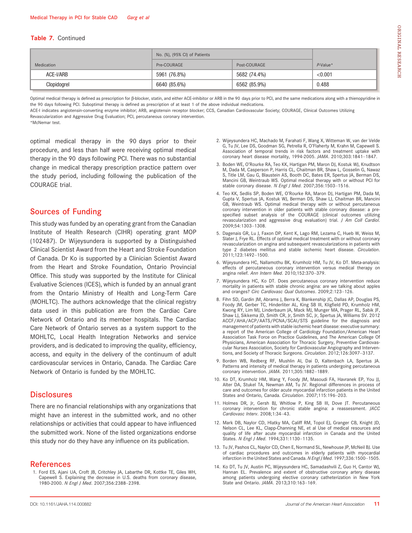#### Table 7. Continued

|             | No. (%), (95% CI) of Patients |              |             |
|-------------|-------------------------------|--------------|-------------|
| Medication  | Pre-COURAGE                   | Post-COURAGE | $P-Value^*$ |
| ACE-I/ARB   | 5961 (76.8%)                  | 5682 (74.4%) | < 0.001     |
| Clopidogrel | 6640 (85.6%)                  | 6562 (85.9%) | 0.488       |

Optimal medical therapy is defined as prescription for B-blocker, statin, and either ACE-inhibitor or ARB in the 90 days prior to PCI, and the same medications along with a thienopyridine in the 90 days following PCI. Suboptimal therapy is defined as prescription of at least 1 of the above individual medications.

ACE-I indicates angiotensin-converting enzyme inhibitor; ARB, angiotensin receptor blocker; CCS, Canadian Cardiovascular Society; COURAGE, Clinical Outcomes Utilizing Revascularization and Aggressive Drug Evaluation; PCI, percutaneous coronary intervention.

\*McNemar test.

optimal medical therapy in the 90 days prior to their procedure, and less than half were receiving optimal medical therapy in the 90 days following PCI. There was no substantial change in medical therapy prescription practice pattern over the study period, including following the publication of the COURAGE trial.

#### Sources of Funding

This study was funded by an operating grant from the Canadian Institute of Health Research (CIHR) operating grant MOP (102487). Dr Wijeysundera is supported by a Distinguished Clinical Scientist Award from the Heart and Stroke Foundation of Canada. Dr Ko is supported by a Clinician Scientist Award from the Heart and Stroke Foundation, Ontario Provincial Office. This study was supported by the Institute for Clinical Evaluative Sciences (ICES), which is funded by an annual grant from the Ontario Ministry of Health and Long-Term Care (MOHLTC). The authors acknowledge that the clinical registry data used in this publication are from the Cardiac Care Network of Ontario and its member hospitals. The Cardiac Care Network of Ontario serves as a system support to the MOHLTC, Local Health Integration Networks and service providers, and is dedicated to improving the quality, efficiency, access, and equity in the delivery of the continuum of adult cardiovascular services in Ontario, Canada. The Cardiac Care Network of Ontario is funded by the MOHLTC.

#### **Disclosures**

There are no financial relationships with any organizations that might have an interest in the submitted work, and no other relationships or activities that could appear to have influenced the submitted work. None of the listed organizations endorse this study nor do they have any influence on its publication.

#### **References**

1. Ford ES, Ajani UA, Croft JB, Critchley JA, Labarthe DR, Kottke TE, Giles WH, Capewell S. Explaining the decrease in U.S. deaths from coronary disease, 1980-2000. N Engl J Med. 2007;356:2388–2398.

- 2. Wijeysundera HC, Machado M, Farahati F, Wang X, Witteman W, van der Velde G, Tu JV, Lee DS, Goodman SG, Petrella R, O'Flaherty M, Krahn M, Capewell S. Association of temporal trends in risk factors and treatment uptake with coronary heart disease mortality, 1994-2005. JAMA. 2010;303:1841–1847.
- 3. Boden WE, O'Rourke RA, Teo KK, Hartigan PM, Maron DJ, Kostuk WJ, Knudtson M, Dada M, Casperson P, Harris CL, Chaitman BR, Shaw L, Gosselin G, Nawaz S, Title LM, Gau G, Blaustein AS, Booth DC, Bates ER, Spertus JA, Berman DS, Mancini GB, Weintraub WS. Optimal medical therapy with or without PCI for stable coronary disease. N Engl J Med. 2007;356:1503–1516.
- 4. Teo KK, Sedlis SP, Boden WE, O'Rourke RA, Maron DJ, Hartigan PM, Dada M, Gupta V, Spertus JA, Kostuk WJ, Berman DS, Shaw LJ, Chaitman BR, Mancini GB, Weintraub WS. Optimal medical therapy with or without percutaneous coronary intervention in older patients with stable coronary disease: a prespecified subset analysis of the COURAGE (clinical outcomes utilizing revascularization and aggressive drug evaluation) trial. J Am Coll Cardiol. 2009;54:1303–1308.
- 5. Dagenais GR, Lu J, Faxon DP, Kent K, Lago RM, Lezama C, Hueb W, Weiss M, Slater J, Frye RL. Effects of optimal medical treatment with or without coronary revascularization on angina and subsequent revascularizations in patients with type 2 diabetes mellitus and stable ischemic heart disease. Circulation. 2011;123:1492–1500.
- 6. Wijeysundera HC, Nallamothu BK, Krumholz HM, Tu JV, Ko DT. Meta-analysis: effects of percutaneous coronary intervention versus medical therapy on angina relief. Ann Intern Med. 2010;152:370–379.
- 7. Wijeysundera HC, Ko DT. Does percutaneous coronary intervention reduce mortality in patients with stable chronic angina: are we talking about apples and oranges? Circ Cardiovasc Qual Outcomes. 2009;2:123–126.
- 8. Fihn SD, Gardin JM, Abrams J, Berra K, Blankenship JC, Dallas AP, Douglas PS, Foody JM, Gerber TC, Hinderliter AL, King SB III, Kligfield PD, Krumholz HM, Kwong RY, Lim MJ, Linderbaum JA, Mack MJ, Munger MA, Prager RL, Sabik JF, Shaw LJ, Sikkema JD, Smith CR, Jr, Smith SC, Jr, Spertus JA, Williams SV. 2012 ACCF/AHA/ACP/AATS/PCNA/SCAI/STS guideline for the diagnosis and management of patients with stable ischemic heart disease: executive summary: a report of the American College of Cardiology Foundation/American Heart Association Task Force on Practice Guidelines, and The American College Of Physicians, American Association for Thoracic Surgery, Preventive Cardiovascular Nurses Association, Society for Cardiovascular Angiography and Interventions, and Society of Thoracic Surgeons. Circulation. 2012;126:3097–3137.
- 9. Borden WB, Redberg RF, Mushlin AI, Dai D, Kaltenbach LA, Spertus JA. Patterns and intensity of medical therapy in patients undergoing percutaneous coronary intervention. JAMA. 2011;305:1882–1889.
- 10. Ko DT, Krumholz HM, Wang Y, Foody JM, Masoudi FA, Havranek EP, You JJ, Alter DA, Stukel TA, Newman AM, Tu JV. Regional differences in process of care and outcomes for older acute myocardial infarction patients in the United States and Ontario, Canada. Circulation. 2007;115:196–203.
- 11. Holmes DR, Jr, Gersh BJ, Whitlow P, King SB III, Dove JT. Percutaneous coronary intervention for chronic stable angina: a reassessment. JACC Cardiovasc Interv. 2008;1:34–43.
- 12. Mark DB, Naylor CD, Hlatky MA, Califf RM, Topol EJ, Granger CB, Knight JD, Nelson CL, Lee KL, Clapp-Channing NE, et al Use of medical resources and quality of life after acute myocardial infarction in Canada and the United States. N Engl J Med. 1994;331:1130–1135.
- 13. Tu JV, Pashos CL, Naylor CD, Chen E, Normand SL, Newhouse JP, McNeil BJ. Use of cardiac procedures and outcomes in elderly patients with myocardial infarction in the United States and Canada. N Engl J Med. 1997;336:1500-1505.
- 14. Ko DT, Tu JV, Austin PC, Wijeysundera HC, Samadashvili Z, Guo H, Cantor WJ, Hannan EL. Prevalence and extent of obstructive coronary artery disease among patients undergoing elective coronary catheterization in New York State and Ontario. JAMA. 2013;310:163–169.